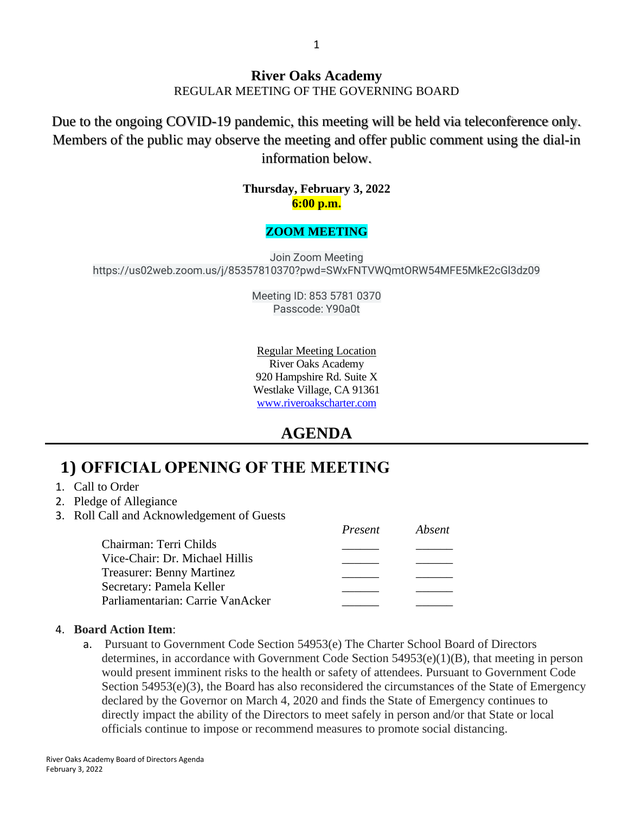#### **River Oaks Academy** REGULAR MEETING OF THE GOVERNING BOARD

Due to the ongoing COVID-19 pandemic, this meeting will be held via teleconference only. Members of the public may observe the meeting and offer public comment using the dial-in information below.

### **Thursday, February 3, 2022 6:00 p.m.**

### **ZOOM MEETING**

Join Zoom Meeting https://us02web.zoom.us/j/85357810370?pwd=SWxFNTVWQmtORW54MFE5MkE2cGl3dz09

> Meeting ID: 853 5781 0370 Passcode: Y90a0t

Regular Meeting Location River Oaks Academy 920 Hampshire Rd. Suite X Westlake Village, CA 91361 [www.riveroakscharter.com](http://www.riveroakscharter.com/)

### **AGENDA**

## **1) OFFICIAL OPENING OF THE MEETING**

- 1. Call to Order
- 2. Pledge of Allegiance
- 3. Roll Call and Acknowledgement of Guests

|                                  | Present | Absent |
|----------------------------------|---------|--------|
| Chairman: Terri Childs           |         |        |
| Vice-Chair: Dr. Michael Hillis   |         |        |
| <b>Treasurer: Benny Martinez</b> |         |        |
| Secretary: Pamela Keller         |         |        |
| Parliamentarian: Carrie VanAcker |         |        |

#### 4. **Board Action Item**:

a. Pursuant to Government Code Section 54953(e) The Charter School Board of Directors determines, in accordance with Government Code Section 54953(e)(1)(B), that meeting in person would present imminent risks to the health or safety of attendees. Pursuant to Government Code Section  $54953(e)(3)$ , the Board has also reconsidered the circumstances of the State of Emergency declared by the Governor on March 4, 2020 and finds the State of Emergency continues to directly impact the ability of the Directors to meet safely in person and/or that State or local officials continue to impose or recommend measures to promote social distancing.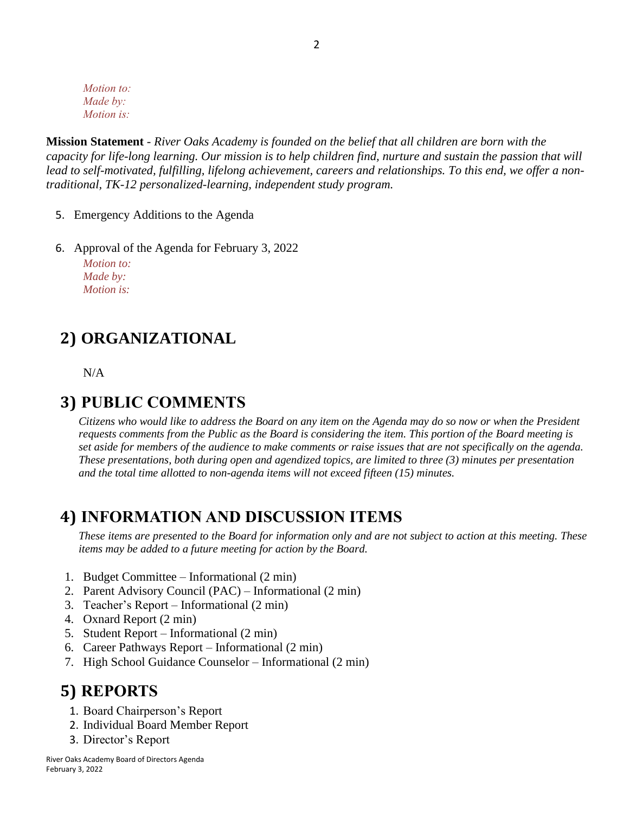*Motion to: Made by: Motion is:*

**Mission Statement** - *River Oaks Academy is founded on the belief that all children are born with the capacity for life-long learning. Our mission is to help children find, nurture and sustain the passion that will lead to self-motivated, fulfilling, lifelong achievement, careers and relationships. To this end, we offer a nontraditional, TK-12 personalized-learning, independent study program.* 

- 5. Emergency Additions to the Agenda
- 6. Approval of the Agenda for February 3, 2022 *Motion to: Made by: Motion is:*

### **2) ORGANIZATIONAL**

N/A

### **3) PUBLIC COMMENTS**

*Citizens who would like to address the Board on any item on the Agenda may do so now or when the President requests comments from the Public as the Board is considering the item. This portion of the Board meeting is set aside for members of the audience to make comments or raise issues that are not specifically on the agenda. These presentations, both during open and agendized topics, are limited to three (3) minutes per presentation and the total time allotted to non-agenda items will not exceed fifteen (15) minutes.*

### **4) INFORMATION AND DISCUSSION ITEMS**

*These items are presented to the Board for information only and are not subject to action at this meeting. These items may be added to a future meeting for action by the Board.*

- 1. Budget Committee Informational (2 min)
- 2. Parent Advisory Council (PAC) Informational (2 min)
- 3. Teacher's Report Informational (2 min)
- 4. Oxnard Report (2 min)
- 5. Student Report Informational (2 min)
- 6. Career Pathways Report Informational (2 min)
- 7. High School Guidance Counselor Informational (2 min)

### **5) REPORTS**

- 1. Board Chairperson's Report
- 2. Individual Board Member Report
- 3. Director's Report

River Oaks Academy Board of Directors Agenda February 3, 2022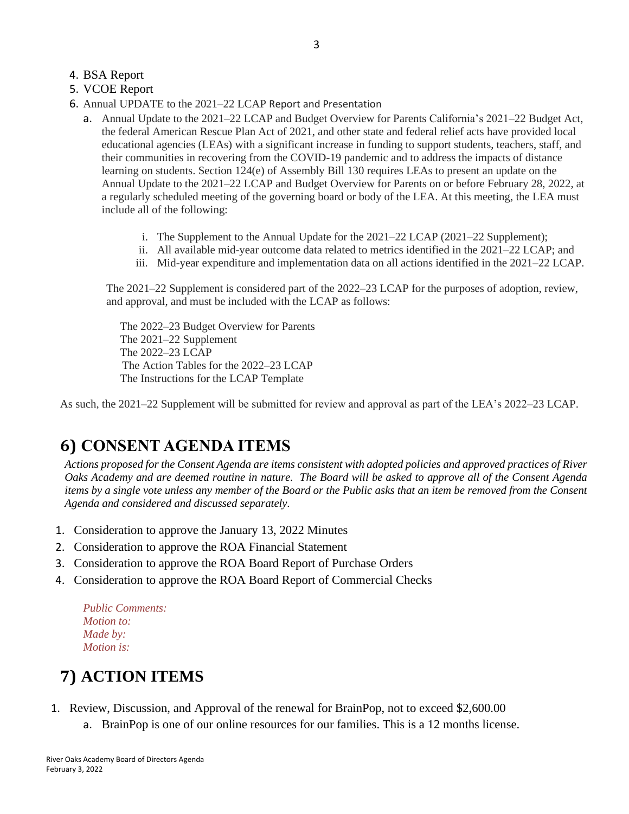### 4. BSA Report

- 5. VCOE Report
- 6. Annual UPDATE to the 2021–22 LCAP Report and Presentation
	- a. Annual Update to the 2021–22 LCAP and Budget Overview for Parents California's 2021–22 Budget Act, the federal American Rescue Plan Act of 2021, and other state and federal relief acts have provided local educational agencies (LEAs) with a significant increase in funding to support students, teachers, staff, and their communities in recovering from the COVID-19 pandemic and to address the impacts of distance learning on students. Section 124(e) of Assembly Bill 130 requires LEAs to present an update on the Annual Update to the 2021–22 LCAP and Budget Overview for Parents on or before February 28, 2022, at a regularly scheduled meeting of the governing board or body of the LEA. At this meeting, the LEA must include all of the following:
		- i. The Supplement to the Annual Update for the 2021–22 LCAP (2021–22 Supplement);
		- ii. All available mid-year outcome data related to metrics identified in the 2021–22 LCAP; and
		- iii. Mid-year expenditure and implementation data on all actions identified in the 2021–22 LCAP.

The 2021–22 Supplement is considered part of the 2022–23 LCAP for the purposes of adoption, review, and approval, and must be included with the LCAP as follows:

 The 2022–23 Budget Overview for Parents The 2021–22 Supplement The 2022–23 LCAP The Action Tables for the 2022–23 LCAP The Instructions for the LCAP Template

As such, the 2021–22 Supplement will be submitted for review and approval as part of the LEA's 2022–23 LCAP.

## **6) CONSENT AGENDA ITEMS**

*Actions proposed for the Consent Agenda are items consistent with adopted policies and approved practices of River Oaks Academy and are deemed routine in nature. The Board will be asked to approve all of the Consent Agenda items by a single vote unless any member of the Board or the Public asks that an item be removed from the Consent Agenda and considered and discussed separately.*

- 1. Consideration to approve the January 13, 2022 Minutes
- 2. Consideration to approve the ROA Financial Statement
- 3. Consideration to approve the ROA Board Report of Purchase Orders
- 4. Consideration to approve the ROA Board Report of Commercial Checks

*Public Comments: Motion to: Made by: Motion is:*

# **7) ACTION ITEMS**

#### 1. Review, Discussion, and Approval of the renewal for BrainPop, not to exceed \$2,600.00

a. BrainPop is one of our online resources for our families. This is a 12 months license.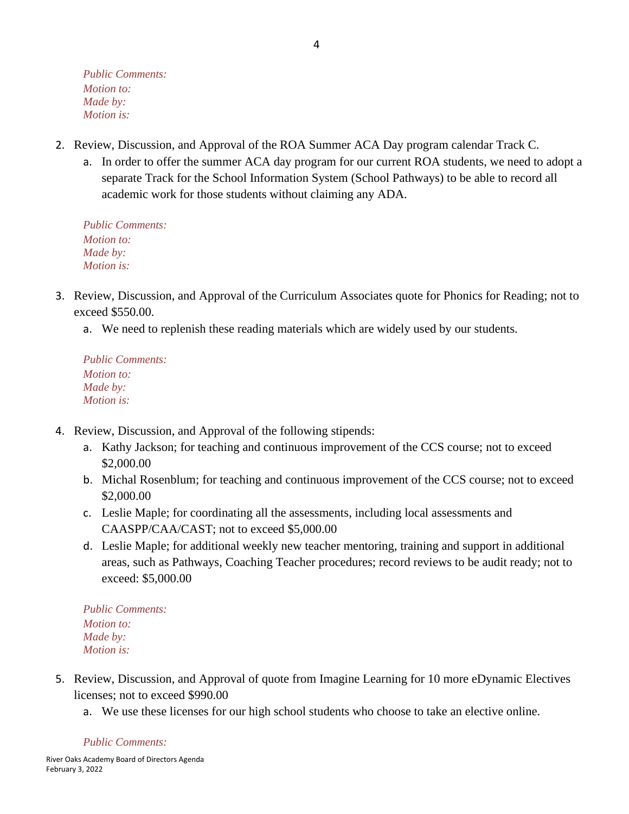*Public Comments: Motion to: Made by: Motion is:*

- 2. Review, Discussion, and Approval of the ROA Summer ACA Day program calendar Track C.
	- a. In order to offer the summer ACA day program for our current ROA students, we need to adopt a separate Track for the School Information System (School Pathways) to be able to record all academic work for those students without claiming any ADA.

*Public Comments: Motion to: Made by: Motion is:*

- 3. Review, Discussion, and Approval of the Curriculum Associates quote for Phonics for Reading; not to exceed \$550.00.
	- a. We need to replenish these reading materials which are widely used by our students.

*Public Comments: Motion to: Made by: Motion is:*

- 4. Review, Discussion, and Approval of the following stipends:
	- a. Kathy Jackson; for teaching and continuous improvement of the CCS course; not to exceed \$2,000.00
	- b. Michal Rosenblum; for teaching and continuous improvement of the CCS course; not to exceed \$2,000.00
	- c. Leslie Maple; for coordinating all the assessments, including local assessments and CAASPP/CAA/CAST; not to exceed \$5,000.00
	- d. Leslie Maple; for additional weekly new teacher mentoring, training and support in additional areas, such as Pathways, Coaching Teacher procedures; record reviews to be audit ready; not to exceed: \$5,000.00

*Public Comments: Motion to: Made by: Motion is:*

- 5. Review, Discussion, and Approval of quote from Imagine Learning for 10 more eDynamic Electives licenses; not to exceed \$990.00
	- a. We use these licenses for our high school students who choose to take an elective online.

*Public Comments:*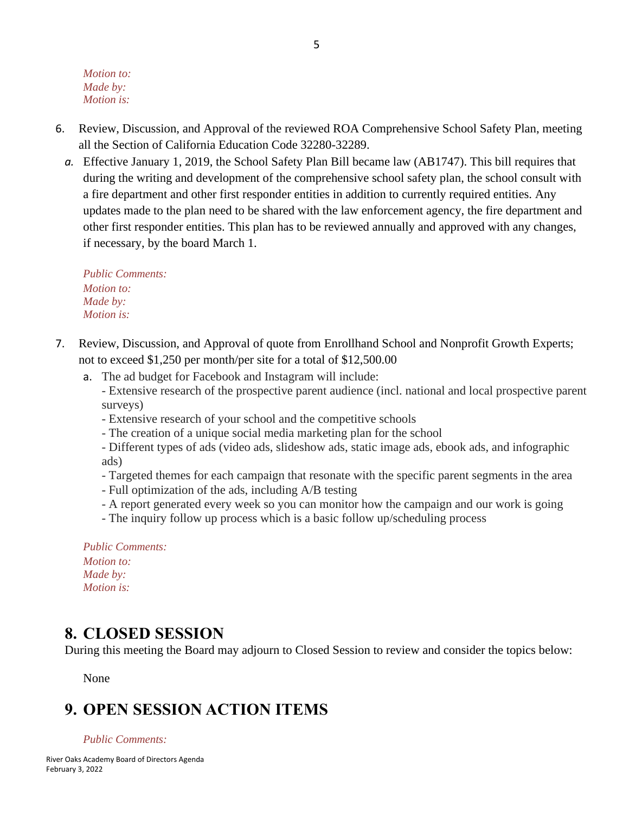*Motion to: Made by: Motion is:*

- 6. Review, Discussion, and Approval of the reviewed ROA Comprehensive School Safety Plan, meeting all the Section of California Education Code 32280-32289.
	- *a.* Effective January 1, 2019, the School Safety Plan Bill became law (AB1747). This bill requires that during the writing and development of the comprehensive school safety plan, the school consult with a fire department and other first responder entities in addition to currently required entities. Any updates made to the plan need to be shared with the law enforcement agency, the fire department and other first responder entities. This plan has to be reviewed annually and approved with any changes, if necessary, by the board March 1.

*Public Comments: Motion to: Made by: Motion is:*

- 7. Review, Discussion, and Approval of quote from Enrollhand School and Nonprofit Growth Experts; not to exceed \$1,250 per month/per site for a total of \$12,500.00
	- a. The ad budget for Facebook and Instagram will include:
		- Extensive research of the prospective parent audience (incl. national and local prospective parent surveys)
		- Extensive research of your school and the competitive schools
		- The creation of a unique social media marketing plan for the school
		- Different types of ads (video ads, slideshow ads, static image ads, ebook ads, and infographic ads)
		- Targeted themes for each campaign that resonate with the specific parent segments in the area
		- Full optimization of the ads, including A/B testing
		- A report generated every week so you can monitor how the campaign and our work is going
		- The inquiry follow up process which is a basic follow up/scheduling process

*Public Comments: Motion to: Made by: Motion is:*

### **8. CLOSED SESSION**

During this meeting the Board may adjourn to Closed Session to review and consider the topics below:

None

# **9. OPEN SESSION ACTION ITEMS**

#### *Public Comments:*